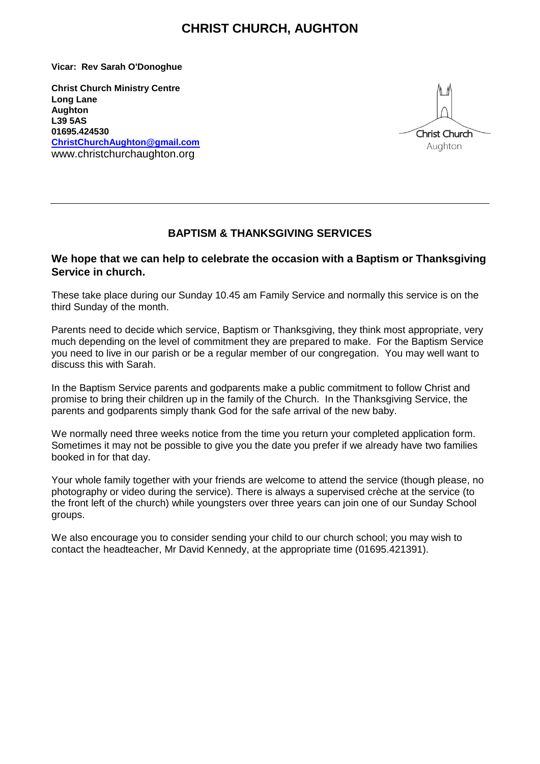## **CHRIST CHURCH, AUGHTON**

**Vicar: Rev Sarah O'Donoghue** 

**Christ Church Ministry Centre Long Lane Aughton L39 5AS 01695.424530 [ChristChurchAughton@gmail.com](mailto:ChristChurchAughton@gmail.com)** www.christchurchaughton.org



### **BAPTISM & THANKSGIVING SERVICES**

#### **We hope that we can help to celebrate the occasion with a Baptism or Thanksgiving Service in church.**

These take place during our Sunday 10.45 am Family Service and normally this service is on the third Sunday of the month.

Parents need to decide which service, Baptism or Thanksgiving, they think most appropriate, very much depending on the level of commitment they are prepared to make. For the Baptism Service you need to live in our parish or be a regular member of our congregation. You may well want to discuss this with Sarah.

In the Baptism Service parents and godparents make a public commitment to follow Christ and promise to bring their children up in the family of the Church. In the Thanksgiving Service, the parents and godparents simply thank God for the safe arrival of the new baby.

We normally need three weeks notice from the time you return your completed application form. Sometimes it may not be possible to give you the date you prefer if we already have two families booked in for that day.

Your whole family together with your friends are welcome to attend the service (though please, no photography or video during the service). There is always a supervised crèche at the service (to the front left of the church) while youngsters over three years can join one of our Sunday School groups.

We also encourage you to consider sending your child to our church school; you may wish to contact the headteacher, Mr David Kennedy, at the appropriate time (01695.421391).